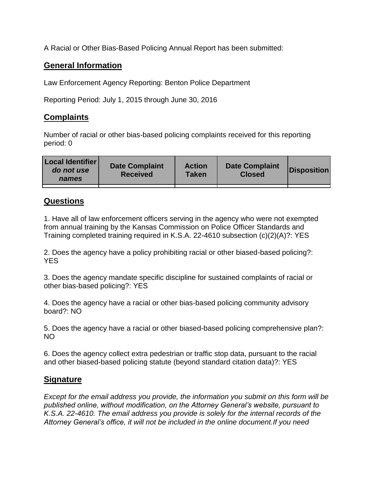A Racial or Other Bias-Based Policing Annual Report has been submitted:

## **General Information**

Law Enforcement Agency Reporting: Benton Police Department

Reporting Period: July 1, 2015 through June 30, 2016

## **Complaints**

Number of racial or other bias-based policing complaints received for this reporting period: 0

| <b>Local Identifier</b><br>do not use<br>names | <b>Date Complaint</b><br><b>Received</b> | <b>Action</b><br><b>Taken</b> | <b>Date Complaint</b><br><b>Closed</b> | Disposition |
|------------------------------------------------|------------------------------------------|-------------------------------|----------------------------------------|-------------|
|                                                |                                          |                               |                                        |             |

## **Questions**

1. Have all of law enforcement officers serving in the agency who were not exempted from annual training by the Kansas Commission on Police Officer Standards and Training completed training required in K.S.A. 22-4610 subsection (c)(2)(A)?: YES

2. Does the agency have a policy prohibiting racial or other biased-based policing?: YES

3. Does the agency mandate specific discipline for sustained complaints of racial or other bias-based policing?: YES

4. Does the agency have a racial or other bias-based policing community advisory board?: NO

5. Does the agency have a racial or other biased-based policing comprehensive plan?: NO

6. Does the agency collect extra pedestrian or traffic stop data, pursuant to the racial and other biased-based policing statute (beyond standard citation data)?: YES

## **Signature**

*Except for the email address you provide, the information you submit on this form will be published online, without modification, on the Attorney General's website, pursuant to K.S.A. 22-4610. The email address you provide is solely for the internal records of the Attorney General's office, it will not be included in the online document.If you need*